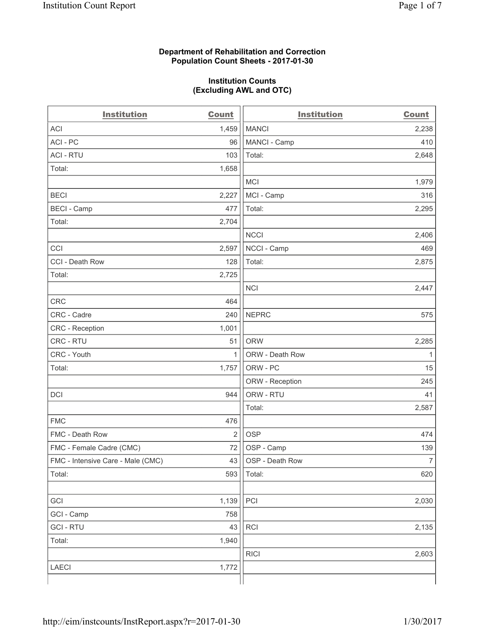#### **Department of Rehabilitation and Correction Population Count Sheets - 2017-01-30**

#### **Institution Counts (Excluding AWL and OTC)**

| <b>Institution</b>                | <b>Count</b>   | <b>Institution</b> | <b>Count</b>   |
|-----------------------------------|----------------|--------------------|----------------|
| <b>ACI</b>                        | 1,459          | <b>MANCI</b>       | 2,238          |
| ACI-PC                            | 96             | MANCI - Camp       | 410            |
| <b>ACI - RTU</b>                  | 103            | Total:             | 2,648          |
| Total:                            | 1,658          |                    |                |
|                                   |                | <b>MCI</b>         | 1,979          |
| <b>BECI</b>                       | 2,227          | MCI - Camp         | 316            |
| <b>BECI</b> - Camp                | 477            | Total:             | 2,295          |
| Total:                            | 2,704          |                    |                |
|                                   |                | <b>NCCI</b>        | 2,406          |
| CCI                               | 2,597          | NCCI - Camp        | 469            |
| CCI - Death Row                   | 128            | Total:             | 2,875          |
| Total:                            | 2,725          |                    |                |
|                                   |                | <b>NCI</b>         | 2,447          |
| <b>CRC</b>                        | 464            |                    |                |
| CRC - Cadre                       | 240            | <b>NEPRC</b>       | 575            |
| CRC - Reception                   | 1,001          |                    |                |
| CRC - RTU                         | 51             | <b>ORW</b>         | 2,285          |
| CRC - Youth                       | 1              | ORW - Death Row    | 1              |
| Total:                            | 1,757          | ORW - PC           | 15             |
|                                   |                | ORW - Reception    | 245            |
| DCI                               | 944            | ORW - RTU          | 41             |
|                                   |                | Total:             | 2,587          |
| <b>FMC</b>                        | 476            |                    |                |
| FMC - Death Row                   | $\overline{2}$ | <b>OSP</b>         | 474            |
| FMC - Female Cadre (CMC)          | 72             | OSP - Camp         | 139            |
| FMC - Intensive Care - Male (CMC) | 43             | OSP - Death Row    | $\overline{7}$ |
| Total:                            | 593            | Total:             | 620            |
|                                   |                |                    |                |
| GCI                               | 1,139          | PCI                | 2,030          |
| GCI - Camp                        | 758            |                    |                |
| <b>GCI-RTU</b>                    | 43             | RCI                | 2,135          |
| Total:                            | 1,940          |                    |                |
|                                   |                | <b>RICI</b>        | 2,603          |
| <b>LAECI</b>                      | 1,772          |                    |                |
|                                   |                |                    |                |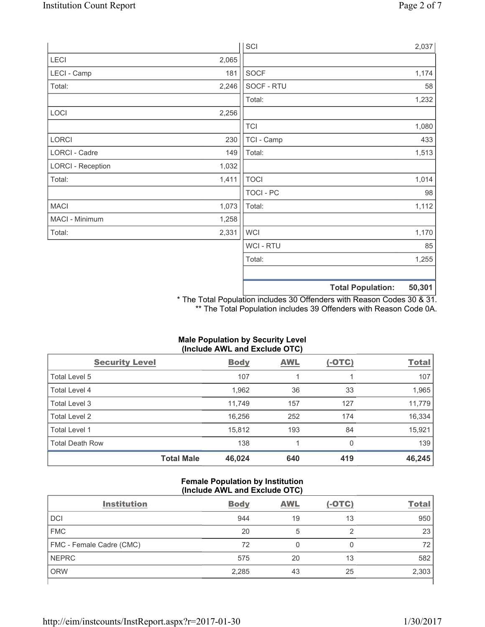|                          |       | SCI            |                          | 2,037  |
|--------------------------|-------|----------------|--------------------------|--------|
| LECI                     | 2,065 |                |                          |        |
| LECI - Camp              | 181   | SOCF           |                          | 1,174  |
| Total:                   | 2,246 | SOCF - RTU     |                          | 58     |
|                          |       | Total:         |                          | 1,232  |
| LOCI                     | 2,256 |                |                          |        |
|                          |       | <b>TCI</b>     |                          | 1,080  |
| LORCI                    | 230   | TCI - Camp     |                          | 433    |
| LORCI - Cadre            | 149   | Total:         |                          | 1,513  |
| <b>LORCI - Reception</b> | 1,032 |                |                          |        |
| Total:                   | 1,411 | <b>TOCI</b>    |                          | 1,014  |
|                          |       | TOCI - PC      |                          | 98     |
| <b>MACI</b>              | 1,073 | Total:         |                          | 1,112  |
| MACI - Minimum           | 1,258 |                |                          |        |
| Total:                   | 2,331 | <b>WCI</b>     |                          | 1,170  |
|                          |       | <b>WCI-RTU</b> |                          | 85     |
|                          |       | Total:         |                          | 1,255  |
|                          |       |                |                          |        |
|                          |       |                | <b>Total Population:</b> | 50,301 |

\* The Total Population includes 30 Offenders with Reason Codes 30 & 31. \*\* The Total Population includes 39 Offenders with Reason Code 0A.

# **Male Population by Security Level (Include AWL and Exclude OTC)**

| <b>Security Level</b>  |                   | <b>Body</b> | <b>AWL</b> | <u>(-OTC)</u> | <b>Total</b> |
|------------------------|-------------------|-------------|------------|---------------|--------------|
| Total Level 5          |                   | 107         |            |               | 107          |
| Total Level 4          |                   | 1,962       | 36         | 33            | 1,965        |
| Total Level 3          |                   | 11.749      | 157        | 127           | 11,779       |
| Total Level 2          |                   | 16,256      | 252        | 174           | 16,334       |
| Total Level 1          |                   | 15,812      | 193        | 84            | 15,921       |
| <b>Total Death Row</b> |                   | 138         | 1          | 0             | 139          |
|                        | <b>Total Male</b> | 46,024      | 640        | 419           | 46,245       |

## **Female Population by Institution (Include AWL and Exclude OTC)**

| <b>Institution</b>       | <b>Body</b> | <b>AWL</b> | $(-OTC)$ | <b>Total</b> |
|--------------------------|-------------|------------|----------|--------------|
| <b>DCI</b>               | 944         | 19         | 13       | 950          |
| <b>FMC</b>               | 20          | 5          |          | 23           |
| FMC - Female Cadre (CMC) | 72          |            |          | 72           |
| <b>NEPRC</b>             | 575         | 20         | 13       | 582          |
| <b>ORW</b>               | 2,285       | 43         | 25       | 2,303        |
|                          |             |            |          |              |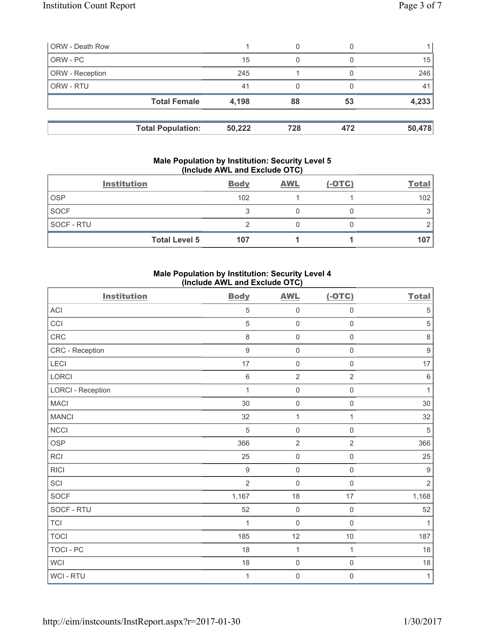| <b>ORW - Death Row</b> |                          |        | 0   |     |        |
|------------------------|--------------------------|--------|-----|-----|--------|
| ORW - PC               |                          | 15     | 0   |     | 15     |
| ORW - Reception        |                          | 245    |     |     | 246    |
| ORW - RTU              |                          | 41     |     |     | 41     |
|                        | <b>Total Female</b>      | 4,198  | 88  | 53  | 4,233  |
|                        |                          |        |     |     |        |
|                        | <b>Total Population:</b> | 50,222 | 728 | 472 | 50,478 |

#### **Male Population by Institution: Security Level 5 (Include AWL and Exclude OTC)**

|             | <b>Institution</b>   | <b>Body</b> | <b>AWL</b> | $(-OTC)$ | <b>Total</b> |
|-------------|----------------------|-------------|------------|----------|--------------|
| <b>OSP</b>  |                      | 102         |            |          | 102          |
| <b>SOCF</b> |                      |             |            |          |              |
| SOCF - RTU  |                      |             |            |          |              |
|             | <b>Total Level 5</b> | 107         |            |          | 107          |

# **Male Population by Institution: Security Level 4 (Include AWL and Exclude OTC)**

| <b>Institution</b>       | <b>Body</b>      | <b>AWL</b>          | $(-OTC)$            | <b>Total</b>     |
|--------------------------|------------------|---------------------|---------------------|------------------|
| <b>ACI</b>               | 5                | $\mathsf 0$         | $\mathsf{O}\xspace$ | $\sqrt{5}$       |
| CCI                      | $\sqrt{5}$       | $\mathbf 0$         | $\mathsf{O}\xspace$ | $\sqrt{5}$       |
| CRC                      | 8                | $\mathsf{O}\xspace$ | $\mathsf 0$         | $\,8\,$          |
| CRC - Reception          | $\boldsymbol{9}$ | $\mathsf 0$         | $\mathsf{O}\xspace$ | $\boldsymbol{9}$ |
| LECI                     | 17               | $\mathsf 0$         | $\mathsf 0$         | 17               |
| LORCI                    | $\,6\,$          | $\overline{2}$      | $\overline{2}$      | $\,6\,$          |
| <b>LORCI - Reception</b> | 1                | $\mathsf{O}\xspace$ | $\mathsf{O}\xspace$ | $\mathbf{1}$     |
| <b>MACI</b>              | 30               | $\mathsf 0$         | $\mathsf{O}\xspace$ | 30               |
| <b>MANCI</b>             | 32               | $\mathbf 1$         | 1                   | 32               |
| NCCI                     | 5                | $\mathbf 0$         | $\mathsf{O}\xspace$ | $\sqrt{5}$       |
| <b>OSP</b>               | 366              | $\overline{2}$      | $\overline{2}$      | 366              |
| RCI                      | 25               | $\mathbf 0$         | $\mathsf{O}\xspace$ | 25               |
| <b>RICI</b>              | $9\,$            | $\mathsf{O}\xspace$ | $\mathsf{O}$        | $9\,$            |
| SCI                      | $\overline{2}$   | $\mathbf 0$         | $\mathsf{O}\xspace$ | $\sqrt{2}$       |
| SOCF                     | 1,167            | 18                  | 17                  | 1,168            |
| SOCF - RTU               | 52               | $\mathsf{O}\xspace$ | $\mathsf 0$         | 52               |
| <b>TCI</b>               | 1                | $\mathsf{O}\xspace$ | $\mathsf 0$         | $\mathbf{1}$     |
| <b>TOCI</b>              | 185              | 12                  | 10                  | 187              |
| <b>TOCI - PC</b>         | 18               | $\mathbf{1}$        | 1                   | 18               |
| <b>WCI</b>               | 18               | $\mathbf 0$         | $\mathsf 0$         | $18$             |
| WCI - RTU                | 1                | $\mathbf 0$         | 0                   | $\mathbf{1}$     |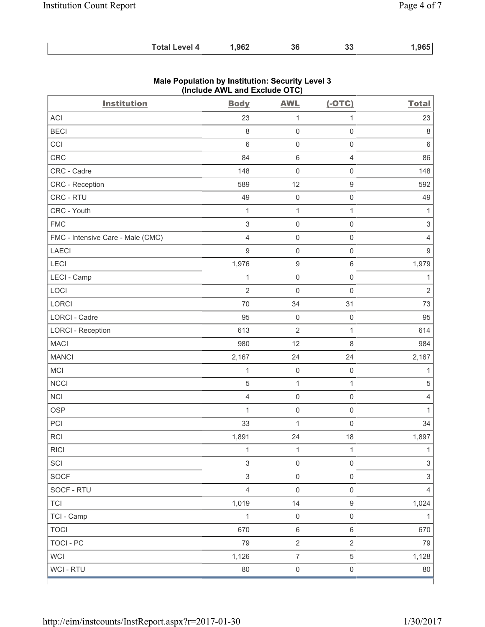| ,965<br>.962<br><b>Total Level 4</b><br>36<br>n n<br>აა |
|---------------------------------------------------------|
|---------------------------------------------------------|

| <b>Institution</b>                | $(1.0188)$ $(1.128)$ and $2.01880$ $(0.10)$<br><b>Body</b> | <b>AWL</b>          | $(-OTC)$            | <b>Total</b>              |
|-----------------------------------|------------------------------------------------------------|---------------------|---------------------|---------------------------|
| ACI                               | 23                                                         | 1                   | 1                   | 23                        |
| <b>BECI</b>                       | $\,8\,$                                                    | $\mathsf{O}\xspace$ | $\mathsf 0$         | $\,8\,$                   |
| CCI                               | $\,6$                                                      | $\mathsf{O}\xspace$ | $\mathsf 0$         | $\,6\,$                   |
| CRC                               | 84                                                         | 6                   | $\overline{4}$      | 86                        |
| CRC - Cadre                       | 148                                                        | $\mathsf{O}\xspace$ | $\mathsf 0$         | 148                       |
| CRC - Reception                   | 589                                                        | 12                  | $\boldsymbol{9}$    | 592                       |
| CRC - RTU                         | 49                                                         | $\mathsf{O}\xspace$ | $\mathsf 0$         | 49                        |
| CRC - Youth                       | $\mathbf{1}$                                               | $\mathbf{1}$        | 1                   | $\mathbf{1}$              |
| <b>FMC</b>                        | $\ensuremath{\mathsf{3}}$                                  | $\mathsf{O}\xspace$ | $\mathsf 0$         | $\ensuremath{\mathsf{3}}$ |
| FMC - Intensive Care - Male (CMC) | $\overline{4}$                                             | $\mathsf{O}\xspace$ | $\mathsf{O}\xspace$ | $\overline{4}$            |
| LAECI                             | $\boldsymbol{9}$                                           | $\mathsf 0$         | $\mathbf 0$         | $\boldsymbol{9}$          |
| LECI                              | 1,976                                                      | $\boldsymbol{9}$    | $\,6\,$             | 1,979                     |
| LECI - Camp                       | 1                                                          | $\mathsf{O}\xspace$ | $\mathsf{O}\xspace$ | $\mathbf{1}$              |
| LOCI                              | $\mathbf 2$                                                | 0                   | $\mathbf 0$         | $\sqrt{2}$                |
| LORCI                             | 70                                                         | 34                  | 31                  | 73                        |
| LORCI - Cadre                     | 95                                                         | $\mathsf{O}\xspace$ | $\mathsf{O}\xspace$ | 95                        |
| <b>LORCI - Reception</b>          | 613                                                        | $\overline{2}$      | $\mathbf{1}$        | 614                       |
| <b>MACI</b>                       | 980                                                        | 12                  | 8                   | 984                       |
| <b>MANCI</b>                      | 2,167                                                      | 24                  | 24                  | 2,167                     |
| MCI                               | $\mathbf{1}$                                               | $\mathsf{O}\xspace$ | $\mathbf 0$         | 1                         |
| <b>NCCI</b>                       | 5                                                          | $\mathbf 1$         | 1                   | $\,$ 5 $\,$               |
| <b>NCI</b>                        | $\overline{4}$                                             | $\mathsf{O}\xspace$ | $\mathsf 0$         | $\overline{4}$            |
| OSP                               | 1                                                          | $\mathsf{O}\xspace$ | $\mathsf 0$         | $\mathbf{1}$              |
| PCI                               | 33                                                         | 1                   | $\mathbf 0$         | 34                        |
| <b>RCI</b>                        | 1,891                                                      | 24                  | 18                  | 1,897                     |
| <b>RICI</b>                       | 1                                                          | 1                   | 1                   | $\mathbf{1}$              |
| SCI                               | $\mathsf 3$                                                | $\mathsf 0$         | $\mathsf{O}\xspace$ | $\mathfrak{S}$            |
| <b>SOCF</b>                       | $\ensuremath{\mathsf{3}}$                                  | $\mathsf 0$         | $\mathsf{O}\xspace$ | $\mathfrak{S}$            |
| SOCF - RTU                        | $\overline{4}$                                             | $\mathsf 0$         | $\mathsf 0$         | 4                         |
| <b>TCI</b>                        | 1,019                                                      | 14                  | $\boldsymbol{9}$    | 1,024                     |
| TCI - Camp                        | $\mathbf{1}$                                               | $\,0\,$             | $\mathsf 0$         | $\mathbf{1}$              |
| <b>TOCI</b>                       | 670                                                        | $\,6\,$             | $\,6\,$             | 670                       |
| <b>TOCI - PC</b>                  | 79                                                         | $\overline{2}$      | $\overline{2}$      | 79                        |
| <b>WCI</b>                        | 1,126                                                      | $\overline{7}$      | $\sqrt{5}$          | 1,128                     |
| WCI - RTU                         | 80                                                         | $\mathsf{O}\xspace$ | $\mathsf{O}\xspace$ | 80                        |

# **Male Population by Institution: Security Level 3 (Include AWL and Exclude OTC)**

٦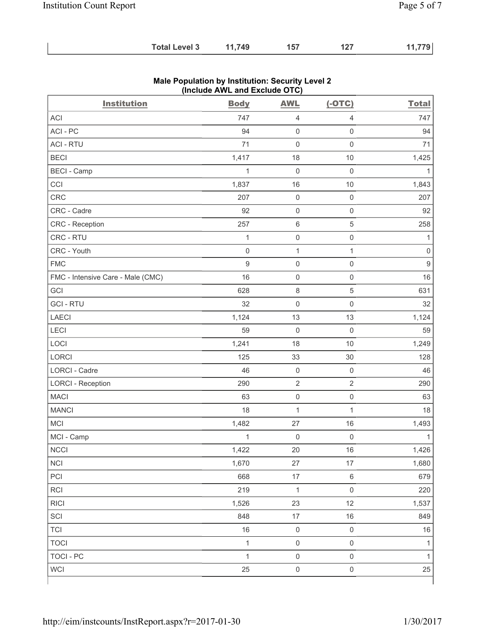| <b>Total Level 3</b> | 11,749 | 157 | 127 | 11,779 |
|----------------------|--------|-----|-----|--------|
|----------------------|--------|-----|-----|--------|

| <b>Institution</b>                | <b>Body</b>  | <b>AWL</b>          | $(-OTC)$            | <b>Total</b>     |
|-----------------------------------|--------------|---------------------|---------------------|------------------|
| <b>ACI</b>                        | 747          | $\overline{4}$      | 4                   | 747              |
| ACI-PC                            | 94           | $\mathbf 0$         | $\mathsf{O}\xspace$ | 94               |
| <b>ACI - RTU</b>                  | 71           | $\mathbf 0$         | $\mathbf 0$         | 71               |
| <b>BECI</b>                       | 1,417        | 18                  | $10$                | 1,425            |
| <b>BECI - Camp</b>                | $\mathbf 1$  | $\mathsf{O}\xspace$ | $\mathsf 0$         | 1                |
| CCI                               | 1,837        | 16                  | $10$                | 1,843            |
| CRC                               | 207          | $\mathbf 0$         | $\mathsf 0$         | 207              |
| CRC - Cadre                       | 92           | $\mathbf 0$         | $\mathsf{O}\xspace$ | 92               |
| CRC - Reception                   | 257          | $\,6\,$             | $\,$ 5 $\,$         | 258              |
| CRC - RTU                         | $\mathbf{1}$ | $\mathsf{O}\xspace$ | $\mathsf{O}\xspace$ | $\mathbf{1}$     |
| CRC - Youth                       | $\mathbf 0$  | $\mathbf 1$         | $\mathbf{1}$        | $\mathbf 0$      |
| <b>FMC</b>                        | $\hbox{9}$   | $\mathsf{O}\xspace$ | $\mathsf{O}\xspace$ | $\boldsymbol{9}$ |
| FMC - Intensive Care - Male (CMC) | 16           | $\mathbf 0$         | $\mathsf{O}\xspace$ | 16               |
| GCI                               | 628          | $\,8\,$             | $\,$ 5 $\,$         | 631              |
| <b>GCI-RTU</b>                    | 32           | $\mathsf{O}\xspace$ | $\mathsf{O}\xspace$ | 32               |
| <b>LAECI</b>                      | 1,124        | 13                  | 13                  | 1,124            |
| LECI                              | 59           | $\mathbf 0$         | $\mathsf 0$         | 59               |
| LOCI                              | 1,241        | 18                  | $10$                | 1,249            |
| LORCI                             | 125          | 33                  | 30                  | 128              |
| LORCI - Cadre                     | 46           | $\mathbf 0$         | $\mathsf 0$         | 46               |
| <b>LORCI - Reception</b>          | 290          | $\overline{2}$      | $\overline{2}$      | 290              |
| <b>MACI</b>                       | 63           | $\mathsf{O}\xspace$ | $\mathsf 0$         | 63               |
| <b>MANCI</b>                      | 18           | $\mathbf{1}$        | $\mathbf{1}$        | 18               |
| MCI                               | 1,482        | 27                  | 16                  | 1,493            |
| MCI - Camp                        | $\mathbf{1}$ | $\mathsf{O}\xspace$ | $\mathsf 0$         | $\mathbf{1}$     |
| <b>NCCI</b>                       | 1,422        | 20                  | 16                  | 1,426            |
| NCI                               | 1,670        | 27                  | 17                  | 1,680            |
| PCI                               | 668          | 17                  | $\,6\,$             | 679              |
| RCI                               | 219          | $\mathbf 1$         | $\mathsf{O}\xspace$ | 220              |
| <b>RICI</b>                       | 1,526        | 23                  | 12                  | 1,537            |
| SCI                               | 848          | $17\,$              | $16\,$              | 849              |
| <b>TCI</b>                        | $16$         | $\mathsf{O}\xspace$ | $\mathsf{O}\xspace$ | 16               |
| <b>TOCI</b>                       | $\mathbf{1}$ | $\mathsf{O}\xspace$ | $\mathsf{O}\xspace$ | 1                |
| <b>TOCI - PC</b>                  | $\mathbf{1}$ | $\mathsf 0$         | $\mathsf{O}\xspace$ | $\mathbf{1}$     |
| <b>WCI</b>                        | 25           | $\mathsf{O}\xspace$ | $\mathsf{O}\xspace$ | 25               |

## **Male Population by Institution: Security Level 2 (Include AWL and Exclude OTC)**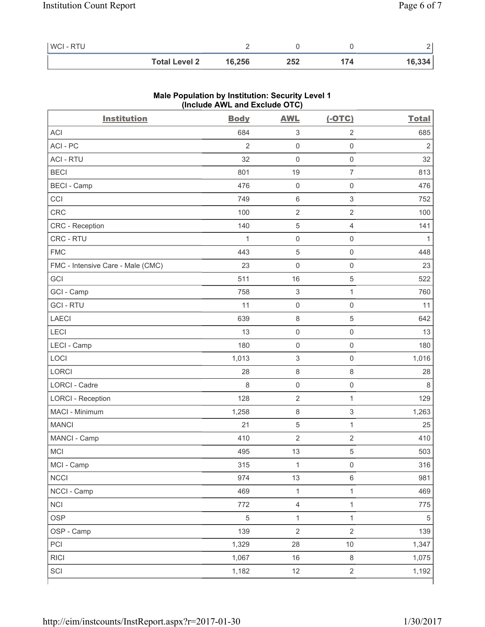| WCI - RTU |                      |        |     |     |        |
|-----------|----------------------|--------|-----|-----|--------|
|           | <b>Total Level 2</b> | 16,256 | 252 | 174 | 16,334 |

| <b>Institution</b>                | <b>Body</b>    | <b>AWL</b>                | $(-OTC)$                  | <b>Total</b>   |
|-----------------------------------|----------------|---------------------------|---------------------------|----------------|
| <b>ACI</b>                        | 684            | $\ensuremath{\mathsf{3}}$ | $\sqrt{2}$                | 685            |
| ACI-PC                            | $\overline{2}$ | $\mathsf{O}\xspace$       | $\mathsf{O}\xspace$       | $\overline{2}$ |
| <b>ACI - RTU</b>                  | 32             | $\mathsf{O}\xspace$       | $\mathbf 0$               | 32             |
| <b>BECI</b>                       | 801            | 19                        | $\overline{7}$            | 813            |
| <b>BECI - Camp</b>                | 476            | $\mathsf{O}\xspace$       | $\mathsf{O}\xspace$       | 476            |
| CCI                               | 749            | 6                         | $\sqrt{3}$                | 752            |
| CRC                               | 100            | $\sqrt{2}$                | $\overline{2}$            | 100            |
| <b>CRC</b> - Reception            | 140            | $\,$ 5 $\,$               | $\overline{4}$            | 141            |
| CRC - RTU                         | $\mathbf{1}$   | $\mathsf{O}\xspace$       | $\mathsf 0$               | $\mathbf 1$    |
| <b>FMC</b>                        | 443            | $\mathbf 5$               | $\mathsf 0$               | 448            |
| FMC - Intensive Care - Male (CMC) | 23             | 0                         | $\mathsf 0$               | 23             |
| GCI                               | 511            | 16                        | $\sqrt{5}$                | 522            |
| GCI - Camp                        | 758            | $\ensuremath{\mathsf{3}}$ | 1                         | 760            |
| <b>GCI-RTU</b>                    | 11             | $\mathsf 0$               | $\mathsf 0$               | 11             |
| LAECI                             | 639            | $\,8\,$                   | $\,$ 5 $\,$               | 642            |
| LECI                              | 13             | $\mathsf{O}\xspace$       | $\mathsf{O}\xspace$       | 13             |
| LECI - Camp                       | 180            | $\mathsf{O}\xspace$       | $\mathsf 0$               | 180            |
| LOCI                              | 1,013          | 3                         | $\mathsf{O}\xspace$       | 1,016          |
| LORCI                             | 28             | $\,8\,$                   | $\,8\,$                   | 28             |
| <b>LORCI - Cadre</b>              | 8              | $\mathsf{O}\xspace$       | $\mathsf 0$               | $\,8\,$        |
| <b>LORCI - Reception</b>          | 128            | $\sqrt{2}$                | 1                         | 129            |
| MACI - Minimum                    | 1,258          | $\,8\,$                   | $\ensuremath{\mathsf{3}}$ | 1,263          |
| <b>MANCI</b>                      | 21             | $\mathbf 5$               | 1                         | 25             |
| MANCI - Camp                      | 410            | $\sqrt{2}$                | $\sqrt{2}$                | 410            |
| MCI                               | 495            | 13                        | 5                         | 503            |
| MCI - Camp                        | 315            | 1                         | $\mathsf 0$               | 316            |
| NCCI                              | 974            | 13                        | $\,6\,$                   | 981            |
| NCCI - Camp                       | 469            | $\mathbf{1}$              | $\mathbf{1}$              | 469            |
| <b>NCI</b>                        | 772            | $\overline{4}$            | $\mathbf{1}$              | 775            |
| <b>OSP</b>                        | $\sqrt{5}$     | $\mathbf{1}$              | $\mathbf{1}$              | $5\,$          |
| OSP - Camp                        | 139            | $\overline{2}$            | $\overline{2}$            | 139            |
| PCI                               | 1,329          | 28                        | 10                        | 1,347          |
| <b>RICI</b>                       | 1,067          | 16                        | $\,8\,$                   | 1,075          |
| SCI                               | 1,182          | 12                        | $\overline{2}$            | 1,192          |

# **Male Population by Institution: Security Level 1 (Include AWL and Exclude OTC)**

ľ

٦